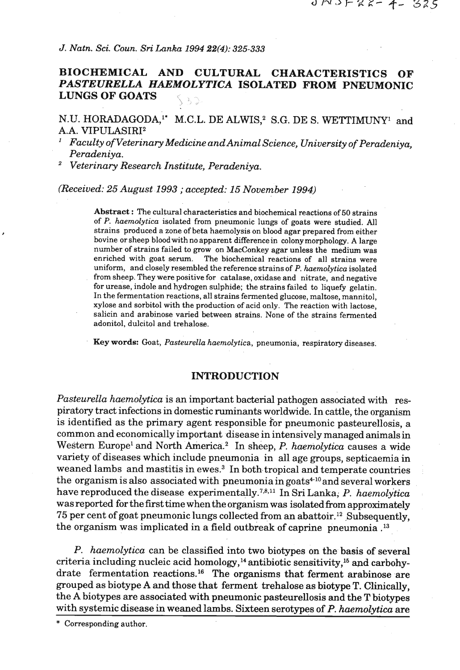*J. Natn.* **Sci.** *Coun. Sri Lanka 1994* **22(4):** *325-333* 

# **BIOCHEMICAL AND CULTURAL CHARACTERISTICS OF**  *PASTEURELLA HAEMOLYTICA* **ISOLATED FROM PNEUMONIC LUNGS OF GOATS**

N.U. HORADAGODA,<sup>1</sup>\* M.C.L. DE ALWIS,<sup>2</sup> S.G. DE S. WETTIMUNY<sup>1</sup> and A.A. **VIPULASIRI**<sup>2</sup>

*Faculty of Veterinary Medicine and Animal Science, University of Peracleniya, Peradeniya.* 

*Veterinary Research Institute, Peradeniya.* 

*(Received: 25 August* **1993** ; *accepted:* **15** *November* **1994)** 

Abstract : The cultural characteristics and biochemical reactions of 50 strains of P. haemolytica isolated from pneumonic lungs of goats were studied. All strains produced a zone of beta haemolysis on blood agar prepared from either bovine or sheep bloodwith no apparent differencein colony morphology. A large number of strains failed to grow on MacConkey **agar** unless the medium was enriched with goat serum. The biochemical reactions of all strains were uniform, and closely resembled the reference strains of P. haemolytica isolated from sheep. They were positive for catalase, oxidase and nitrate, and negative for urease, indole and hydrogen sulphide; the strains failed to liquefy gelatin. In the fermentation reactions, all strains fermented glucose, maltose, mannitol, xylose and sorbitol with the production of acid only. The reaction with lactose, salicin and arabinose varied between strains. None of the strains fermented adonitol, dulcitol and trehalose.

Key words: Goat, Pasteurella haemolytica, pneumonia, respiratory diseases.

### **INTRODUCTION**

*Pasteurella haemolytica* is an important bacterial pathogen associated with respiratory tract infections in domestic ruminants worldwide. In cattle, the organism is identified as the primary agent responsible for pneumonic pasteurellosis, a common and economically important disease in intensively managed animals in Western Europe<sup>1</sup> and North America.<sup>2</sup> In sheep, *P. haemolytica* causes a wide variety of diseases which include pneumonia in all age groups, septicaemia in weaned lambs and mastitis in ewes.<sup>3</sup> In both tropical and temperate countries the organism is also associated with pneumonia in goats $4^{10}$  and several workers have reproduced the disease experimentally.<sup>7,8,11</sup> In Sri Lanka; *P. haemolytica* was reported for the fist time when the organism was isolated from approximately 75 per cent of goat pneumonic lungs collected from an abattoir.<sup>12</sup> Subsequently, the organism was implicated in a field outbreak of caprine pneumonia **.I3** 

*P. haemolytica* can be classified into two biotypes on the basis of several criteria including nucleic acid homology,<sup>14</sup> antibiotic sensitivity,<sup>15</sup> and carbohydrate fermentation reactions.16 The organisms that ferment arabinose are grouped as biotype A and those that ferment trehalose as biotype T. Clinically, the A biotypes are associated with pneumonic pasteurellosis and the T biotypes with systemic disease in weaned lambs. Sixteen serotypes of P. *haemolytica* are

\* Corresponding author.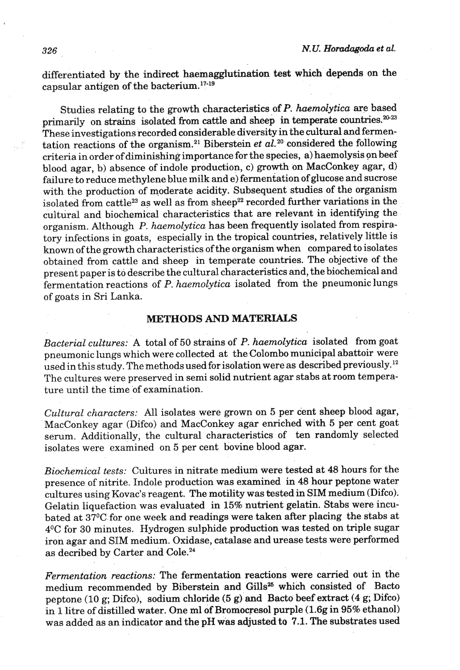differentiated by the indirect haemaggluthation test which depends on the capsular antigen of the bacterium. $17-19$ 

Studies relating to the growth characteristics of P. haemolytica are based primarily on strains isolated from cattle and sheep in temperate countries. $20-23$ These investigations recorded considerable diversity in the **cultural** and fermentation reactions of the organism.<sup>21</sup> Biberstein *et*  $a\tilde{l}$ .<sup>20</sup> considered the following criteria in order of diminishing importance for the species, a) haemolysis on beef blood agar, b) absence of indole production, c) **growth** on MacConkey **agar,** d) failure to reduce methylene blue milk and e) fermentation of glucose and sucrose with the production of moderate acidity. Subsequent studies of the organism isolated from cattle<sup>23</sup> as well as from sheep<sup>22</sup> recorded further variations in the cultural and biochemical characteristics that are relevant in identifying the organism. Although P. *haemolytica* has been frequently isolated from respiratory infections in goats, especially in the tropical countries, relatively little is known of the growth characteristics of the organism when compared to isolates obtained from cattle and sheep in temperate countries. The objective of the present paper is to describe the cultural characteristics and, the biochemical and fermentation reactions of P. *haemolytica* isolated from the pneumonic lungs of goats in Sri Lanka.

# **METHODS AND MATERIALS**

*Bacterial cultures:* A total of 50 strains of P. *haemolytica* isolated from goat pneumonic lungs which were collected at the Colombo municipal abattoir were used in this study. The methods used for isolation were as described previously.<sup>12</sup> The cultures were preserved in semi solid nutrient agar stabs at room temperature until the time of examination.

*Cultural characters:* All isolates were grown on 5 per cent sheep blood agar, MacConkey agar (Difco) and MacConkey agar enriched with 5 per cent goat serum. Additionally, the cultural characteristics of ten randomly selected isolates were examined on 5 per cent bovine blood agar.

*Biochemical tests:* Cultures in nitrate medium were tested at 48 hours for the presence of nitrite. Indole production was examined in 48 hour peptone water cultures using Kovac's reagent. The motility was tested in SIM medium (Difco). Gelatin liquefaction was evaluated in 15% nutrient gelatin. Stabs were incubated at 37°C for one week and readings were taken after placing the stabs at 4OC for 30 minutes. Hydrogen sulphide production was tested on triple sugar iron agar and SIM medium. Oxidase, catalase and urease tests were performed as decribed by Carter and Cole.24

*Fermentation reactions:* The fermentation reactions were carried out in the medium recommended by Biberstein and Gills<sup>25</sup> which consisted of Bacto peptone (10 g; Difco), sodium chloride **(5** g) and Bacto beef extract (4 g; Difco) in 1 litre of distilled water. One ml of Bromocresol purple (1.6g in 95% ethanol) was added as an indicator and the pH was adjusted to 7.1. The substrates used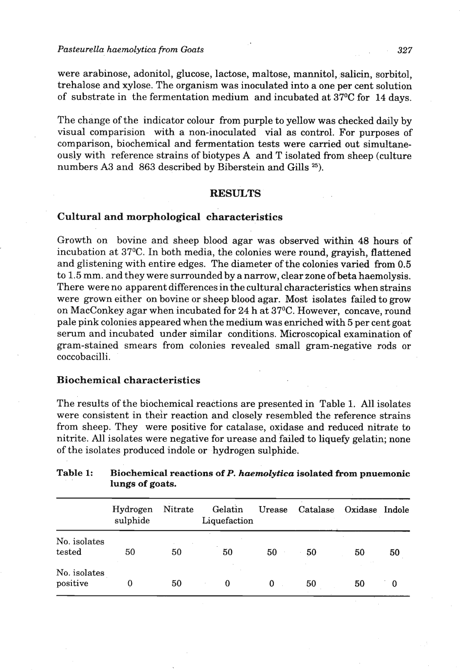were arabinose, adonitol, glucose, lactose, maltose, mannitol, salicin, sorbitol, trehalose and xylose. The organism was inoculated into a one per cent solution of substrate in the fermentation medium and incubated at **37OC** for **14** days.

The change of the indicator colour from purple to yellow was checked daily by visual comparision with a non-inoculated vial as control. For purposes of comparison, biochemical and fermentation tests were carried out simultaneously with reference strains of biotypes A and T isolated from sheep (culture numbers A3 and 863 described by Biberstein and Gills **25).** 

## **RESULTS**

# Cultural and morphological characteristics

Growth on bovine and sheep blood agar was observed within **48** hours of incubation at 37°C. In both media, the colonies were round, grayish, flattened and glistening with entire edges. The diameter of the colonies varied from 0.5 to 1.5 mm. and they were surrounded by a narrow, clear zone of beta haemolysis. There were no apparent differences in the cultural characteristics when strains were grown either on bovine or sheep blood agar. Most isolates failed to grow on MacConkey agar when incubated for 24 h at 37°C. However, concave, round pale pink colonies appeared when the medium was enriched with 5 per cent goat serum and incubated under similar conditions. Microscopical examination of gram-stained smears from colonies revealed small gram-negative rods or coccobacilli.

#### Biochemical characteristics

The results of the biochemical reactions are presented in Table **1.** All.isolates were consistent in their reaction and closely resembled the reference strains from sheep. They were positive for catalase, oxidase and reduced nitrate **to**  nitrite. All isolates were negative for urease and failed to liquefy gelatin; none of the isolates produced indole or hydrogen sulphide.

|                          | Hydrogen<br>sulphide | Nitrate | Gelatin<br>Liquefaction | Urease | Catalase | Oxidase Indole |    |
|--------------------------|----------------------|---------|-------------------------|--------|----------|----------------|----|
| No. isolates<br>tested   | 50                   | 50      | 50                      | 50     | 50       | 50             | 50 |
| No. isolates<br>positive |                      | 50      | 0                       | 0      | 50       | 50             | 0  |

# Table 1: Biochemical reactions of P. haemolytica isolated from pnuemonic **lungs of goats.**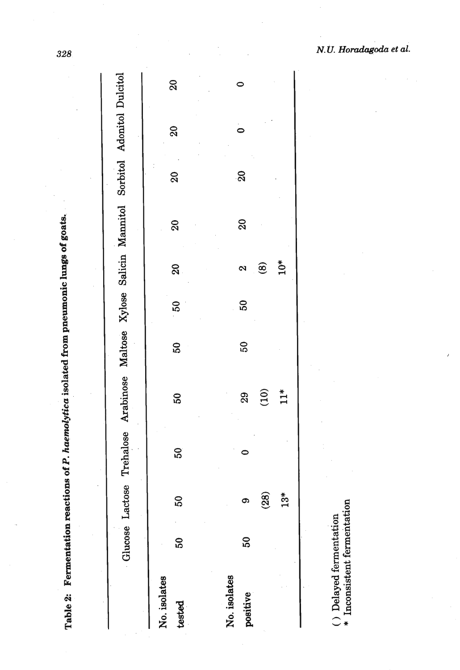| J<br>$\overline{\phantom{a}}$<br>ſ |  |
|------------------------------------|--|
| I<br>I                             |  |
| -<br>{<br>י                        |  |

|                          | Glucose Lact |                    |    | ose Trehalose Arabinose Maltose Xylose Salicin Mannitol Sorbitol Adonitol Dulcitol |                 |                 |                            |                           |                 |    |                |
|--------------------------|--------------|--------------------|----|------------------------------------------------------------------------------------|-----------------|-----------------|----------------------------|---------------------------|-----------------|----|----------------|
| No. isolates<br>tested   | 50           | <u>ຽ</u>           | 50 | 50                                                                                 | $\overline{50}$ | $\overline{50}$ | $\boldsymbol{\mathsf{20}}$ | $\boldsymbol{\mathsf{S}}$ | $\overline{a}$  | 20 | $\overline{a}$ |
| No. isolates<br>positive | 50           | $\mathbf{23}$<br>ග |    | (10)<br>29                                                                         | $\overline{50}$ | 50              | $\circledast$<br>2         | $\overline{20}$           | $\overline{20}$ |    |                |
|                          |              | $\mathbf{r}$       |    | $11*$                                                                              |                 |                 | $10*$                      |                           |                 |    |                |

 $\left( \, \cdot \, \right)$ Delayed fermentation  $*$  Inconsistent fermentation

 $\bar{\bar{\bar{z}}}$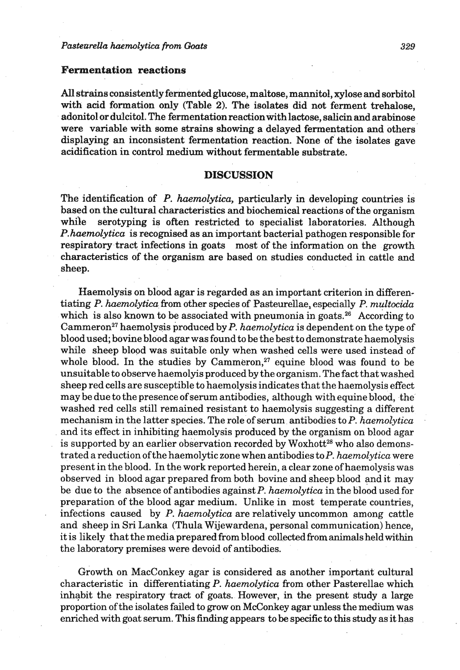## **Fermentation reactions**

**AU** strains consistently fermented glucose, maltose, mannitol, xylose and sorbitol with acid formation only (Table **2).** The isolates did not ferment trehalose, adonitol or dulcitol. The fermentation reaction with lactose, salicin and arabinose were variable with some strains showing a delayed fermentation and others displaying an inconsistent fermentation reaction. None of the isolates gave acidification in control medium without fermentable substrate.

# **DISCUSSION**

The identification of P. *haemolytica,* particularly *in* developing countries is based on the cultural characteristics and biochemical reactions of the organism while serotyping is often restricted to specialist laboratories. Although P.haemolytica is recognised as an important bacterial pathogen responsible for respiratory tract infections in goats most of the information on the growth characteristics of the organism are based on studies conducted in cattle and sheep.

Haemolysis on blood agar is regarded as an important criterion in differentiating P. *haemolytica* from other species of Pasteurellae, especially **P.** *multocidu*  which is also known to be associated with pneumonia in goats.<sup>26</sup> According to Cammeron<sup>27</sup> haemolysis produced by P. haemolytica is dependent on the type of blood used; bovine blood agar was found to be the best to demonstrate haemolysis while sheep blood was suitable only when washed cells were used instead of whole blood. In the studies by Cammeron, $27$  equine blood was found to be unsuitable to observe haemolyis produced by the organism. The fact that washed sheep red cells are susceptible to haemolysis indicates that the haemolysis effect may be due to the presence of serum antibodies, although withequine blood, the' washed red cells still remained resistant to haemolysis suggesting a different mechanism in the latter species. The role of serum antibodies to P. haemolytica and its effect in inhibiting haemolysis produced by the organism on blood agar is supported by an earlier observation recorded by Woxhott<sup>28</sup> who also demonstrated a reduction of the haemolytic zone when antibodies to P. *haemolytica* were present in the blood. In the work reported herein, a clear zone of haemolysis was observed in blood agar prepared from both bovine and sheep blood and it may be due to the absence of antibodies against P. *haemolytica* in the blood used for preparation of the blood agar medium. Unlike in most temperate countries, infections caused by P. *haemolytica* are relatively uncommon among cattle and sheep in Sri Lanka (Thula Wijewardena, personal communication) hence, it is likely that the media prepared from blood collected fromanimals heldwithin the laboratory premises were devoid of antibodies.

Growth on MacConkey agar is considered as another important cultural characteristic in differentiating P. *haemolytica* from other Pasterellae which inhabit the respiratory tract of goats. However, in the present study a large proportion of the isolates failed to grow on McConkey agar unless the medium was enriched with goat serum. This finding appears to be specific to this study as it has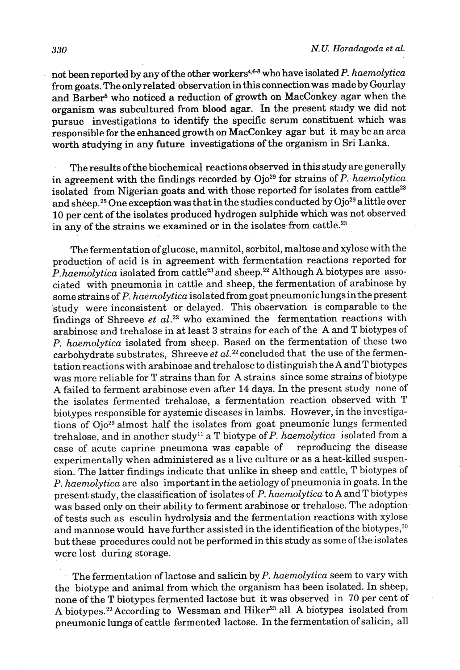not been reported by any of the other workers<sup>4,6-8</sup> who have isolated P. haemolytica from goats. The only related observation in this connection was made by Gourlay and Barber<sup>5</sup> who noticed a reduction of growth on MacConkey agar when the organism was subcultured from blood agar. In the present study we did not pursue investigations to identify the specific serum constituent which was responsible for the enhanced growth on MacConkey agar but it may be an area worth studying in any future investigations of the organism in **Sri** Lanka.

The results of the biochemical reactions observed in this study are generally in agreement with the findings recorded by Ojo<sup>29</sup> for strains of *P. haemolytica* isolated from Nigerian goats and with those reported for isolates from cattle<sup>23</sup> and sheep.<sup>25</sup> One exception was that in the studies conducted by Ojo<sup>29</sup> a little over 10 per cent of the isolates produced hydrogen sulphide which was not observed in any of the strains we examined or in the isolates from cattle.<sup>23</sup>

The fermentation of glucose, mannitol, sorbitol, maltose andxylose with the production of acid is in agreement with fermentation reactions reported for P. haemolytica isolated from cattle23 and sheep.22 Although **A** biotypes are associated with pneumonia in cattle and sheep, the fermentation of arabinose by some strains of P. haemolytica isolated from goat pneumoniclungs in the present study were inconsistent or delayed. This observation is comparable to the findings of Shreeve et  $al.^{22}$  who examined the fermentation reactions with arabinose and trehalose in at least **3** strains for each of the **A** and T biotypes of P. haemolytica isolated from sheep. Based on the fermentation of these two carbohydrate substrates, Shreeve et  $al.^{22}$  concluded that the use of the fermentation reactions with arabinose and trehalose to distinguish the A and T biotypes was more reliable for T strains than for A strains since some strains of biotype **A** failed to ferment arabinose even after 14 days. In the present study none of the isolates fermented trehalose, a fermentation reaction observed with T biotypes responsible for systemic diseases in lambs. However, in the investigations of Ojo<sup>29</sup> almost half the isolates from goat pneumonic lungs fermented trehalose, and in another study<sup>11</sup> a T biotype of P. haemolytica isolated from a case of acute caprine pneumona was capable of reproducing the disease experimentally when administered as a live culture or as a heat-killed suspension. The latter findings indicate that unlike in sheep and cattle, T biotypes of P. haemolytica are also important in the aetiology of pneumonia in goats. In the present study, the classification of isolates of P. haemolytica to A and T biotypes was based only on their ability to ferment arabinose or trehalose. The adoption of tests such as esculin hydrolysis and the fermentation reactions with xylose and mannose would have further assisted in the identification of the biotypes,<sup>30</sup> but these procedures could not be performed in this study as some of the isolates were lost during storage.

The fermentation of lactose and salicin by P. haemolytica seem to vary with the biotype and animal from which the organism has been isolated. In sheep, none of the T biotypes fermented lactose but it was observed in 70 per cent of A biotypes.<sup>22</sup> According to Wessman and Hiker<sup>23</sup> all A biotypes isolated from pneumonic lungs of cattle fermented lactose. In the fermentation of salicin, all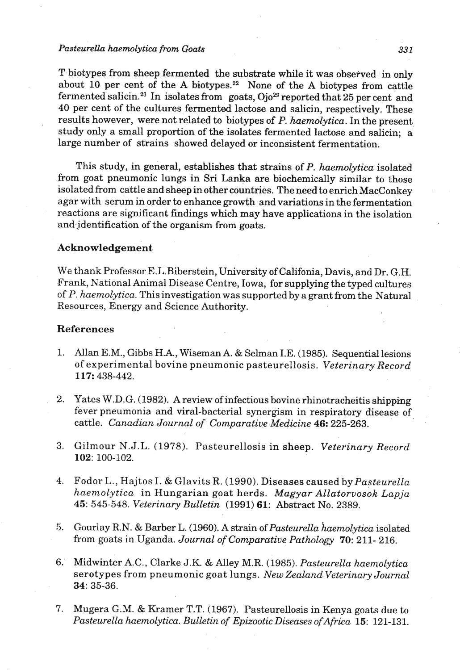#### *Pastevrella hamwlyfica from Goats 331*

T biotypes from sheep fermented the substrate while it was observed in only about 10 per cent of the A biotypes.<sup>22</sup> None of the A biotypes from cattle fermented salicin.<sup>23</sup> In isolates from goats, Ojo<sup>29</sup> reported that 25 per cent and **40** per cent of the cultures fermented ladose and salicin, respectively. These results however, were not related to biotypes of **P.** *haemolytica.* In the present study only a small proportion of the isolates fermented lactose **and** salicin; a large number of strains showed delayed or inconsistent fermentation.

This study, in general, establishes that strains of *P. haemolytica* isolated from goat pneumonic lungs in **Sri** Lanka are biochemically similar to those isolated from cattle and sheep in other countries. **The** need to enrich MacConkey agar with serum in order to enhance growth and variations in the fermentation reactions are significant findings which may have applications in the isolation and identification of the organism from goats.

## Acknowledgement

We thank Professor E.L.Biberstein, University of Califonia, Davis, and Dr. G.H. Frank, National Animal Disease Centre, Iowa, for supplying the typed cultures of P. haemolytica. This investigation was supported by a grant from the Natural Resources, Energy and Science Authority.

## References

- **1.** Allan E.M., Gibbs H.A., Wiseman **A.** & Selman I.E. **(1985).** Sequential lesions of experimental bovine pneumonic pasteurellosis. *Veterinary Record*  **117: 438-442.**
- **2.** Yates **W .D.** G. **(1982).** A review of infectious bovine rhinotracheitis shipping fever pneumonia and viral-bacterial synergism in respiratory disease of cattle. *Canadian Journal of Comparative.Medicine* **46: 225-263.**
- **3.** Gilmour N.J.L. **(1978).** Pasteurellosis in sheep. *Veterinary Record*  **102: 100-102.**
- **4.** Fodor L., Hajtos I. & Glavits R. **(1990).** Diseases caused by *Pasteurella haemolytica* in Hungarian goat herds. *MagyarAllatorvosok Lapja*  **45**: 545-548. *Veterinary Bulletin* (1991) **61**: Abstract No. 2389.
- 5. Gourlay R.N. & Barber L. (1960). A strain of *Pasteurella haemolytica* isolated from goats in Uganda. *Journal of Comparative Pathology 70:* **211- 216.**
- **6.** Midwinter A.C., Clarke J.K. & Alley M.R. **(1985).** *Pasteurella haemolytica*  serotypes from pneumonic goat lungs. *NewZealand Veterinary Journal*  **34: 35-36.**
- 7. Mugera G.M. & Kramer T.T. **(1967).** Pasteurellosis in Kenya goats due to *Pasteurella haemolytica. Bulletin of Epizootic Diseases ofAfrica 15:* **121-131.**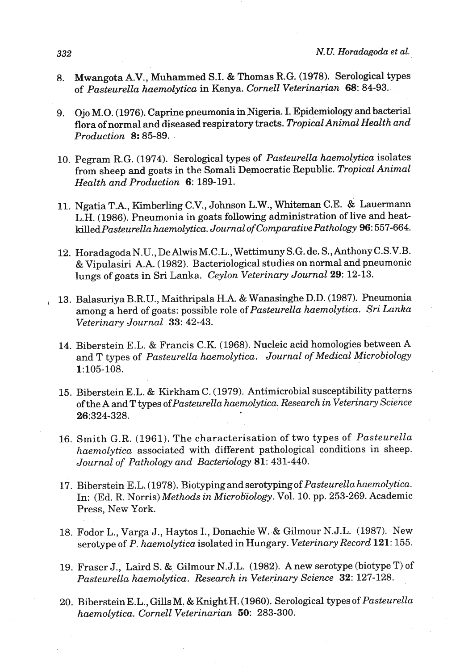- 8. Mwangota A.V., Muhammed S.I. & Thomas R.G. (1978). Serological types of *Pasteurella haemolytica* in Kenya. *Cornell Veterinarian* 68: 84-93..
- 9. Ojo M.0. (1976). Caprine pneumonia in.Nigeria. I. Epidemiology and bacterial flora of normal and diseased respiratory tracts. *Tropical Animal Health and Production 8:* 85-89.
- 10. Pegram R.G. (1974). Serological types of *Pasteurella haemolytica* isolates from sheep and goats in the Somali Democratic Republic. *Tropical Animal Health and Production* 6: 189-191.
- 11. Ngatia T.A., Kirnberling C.V., Johnson L.W., Whiteman C.E. & Lauermann L.H. (1986). Pneumonia in goats following administration of live and heat*killedPasteurella haemolytica. Journal of Comparative Pathology* 96: 557-664.
- 12. Horadagoda N.U., De Alwis M.C.L., Wettimuny S.G. de. S., Anthony C.S.V.B. & Vipulasiri A.A. (1982). Bacteriological studies on normal and pneumonic lungs of goats in Sri Lanka. *Ceylon Veterinary Journal* 29: 12-13.
- , 13. Balasuriya B.R.U., Maithripala H.A. & Wanasinghe D.D. (1987). Pneumonia among a herd of goats: possible role *ofPasteurella haemolytica. Sri Lanka Veterinary Journal* 33: 42-43.
- 14. Biberstein E.L. & Francis C.K. (1968). Nucleic acid homologies between A and T types *of Pasteurella haemolytica. Journal of Medical Microbiology*  1:105-108.
- 15. Biberstein E.L. & Kirkham C. (1979). Antimicrobial susceptibility patterns of the A and T types *ofPasteurella haemolytica. Research in Veterinary Science*  26:324-328.
- 16. Smith G.R. (1961). The characterisation of two types of *Pasteurella haemolytica* associated with different pathological conditions in sheep; *Journal of Pathology and Bacteriology* 81: 431-440.
- 17. Biberstein E. L. ( 1978). Biotyping and serotyping of *Pasteurella haemolytica.*  In: (Ed. R. Norris) *Methods in Microb'iology.* Vol. 10. pp. 253-269. Academic Press, New York.
- 18. Fodor L., Varga J., Haytos I., Donachie W..& Gilmour N.J.L. (1987). New serotype of *P. haemolytica* isolated in Hungary. *Veterinary Record* 121: 155.
- 19. Fraser J., Laird S. & Gilmour N.J.L. (1982). A new serotype (biotype T) of *Pasteurella haemolytica. Research in Veteririary Science* 32: 127-128.
- 20. Biberstein E.L., Gills M. & Knight H. (1960). Serological types of *Pasteurella haemolytica. Cornell Veterinarian 50:* 283-300.